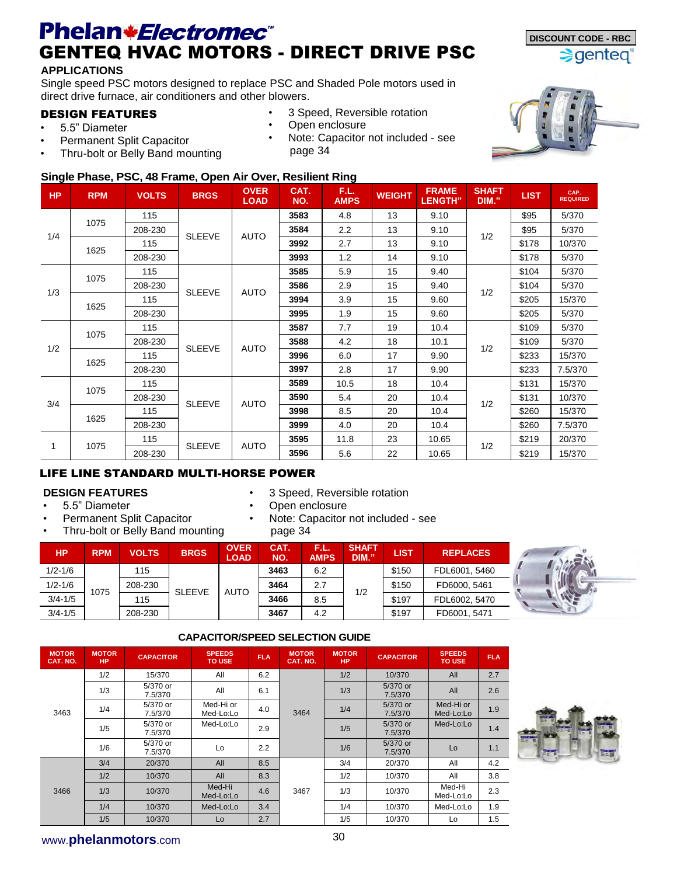## **Phelan** *\* Electromec C* **<b>Exection C Example 2 DISCOUNT CODE - RBC** GENTEQ HVAC MOTORS - DIRECT DRIVE PSC

#### **APPLICATIONS**

Single speed PSC motors designed to replace PSC and Shaded Pole motors used in direct drive furnace, air conditioners and other blowers.

#### DESIGN FEATURES

- 5.5" Diameter
- Permanent Split Capacitor
- Thru-bolt or Belly Band mounting
- 3 Speed, Reversible rotation
- Open enclosure
	- Note: Capacitor not included see page 34



 $\Rightarrow$  genteg

### **Single Phase, PSC, 48 Frame, Open Air Over, Resilient Ring**

| <b>HP</b> | <b>RPM</b> | <b>VOLTS</b> | <b>BRGS</b>   | <b>OVER</b><br><b>LOAD</b> | CAT.<br>NO. | F.L.<br><b>AMPS</b> | <b>WEIGHT</b> | <b>FRAME</b><br><b>LENGTH"</b> | <b>SHAFT</b><br>DIM." | <b>LIST</b> | CAP.<br>REQUIRED |
|-----------|------------|--------------|---------------|----------------------------|-------------|---------------------|---------------|--------------------------------|-----------------------|-------------|------------------|
|           | 1075       | 115          |               |                            | 3583        | 4.8                 | 13            | 9.10                           |                       | \$95        | 5/370            |
| 1/4       |            | 208-230      | <b>SLEEVE</b> | <b>AUTO</b>                | 3584        | 2.2                 | 13            | 9.10                           | 1/2                   | \$95        | 5/370            |
|           | 1625       | 115          |               |                            | 3992        | 2.7                 | 13            | 9.10                           |                       | \$178       | 10/370           |
|           |            | 208-230      |               |                            | 3993        | 1.2                 | 14            | 9.10                           |                       | \$178       | 5/370            |
|           | 1075       | 115          |               |                            | 3585        | 5.9                 | 15            | 9.40                           |                       | \$104       | 5/370            |
| 1/3       |            | 208-230      | <b>SLEEVE</b> | <b>AUTO</b>                | 3586        | 2.9                 | 15            | 9.40                           | 1/2                   | \$104       | 5/370            |
|           | 1625       | 115          |               |                            | 3994        | 3.9                 | 15            | 9.60                           |                       | \$205       | 15/370           |
|           |            | 208-230      |               |                            | 3995        | 1.9                 | 15            | 9.60                           |                       | \$205       | 5/370            |
|           | 1075       | 115          |               |                            | 3587        | 7.7                 | 19            | 10.4                           |                       | \$109       | 5/370            |
| 1/2       |            | 208-230      | <b>SLEEVE</b> | <b>AUTO</b>                | 3588        | 4.2                 | 18            | 10.1                           | 1/2                   | \$109       | 5/370            |
|           | 1625       | 115          |               |                            | 3996        | 6.0                 | 17            | 9.90                           |                       | \$233       | 15/370           |
|           |            | 208-230      |               |                            | 3997        | 2.8                 | 17            | 9.90                           |                       | \$233       | 7.5/370          |
|           | 1075       | 115          |               |                            | 3589        | 10.5                | 18            | 10.4                           |                       | \$131       | 15/370           |
| 3/4       |            | 208-230      | <b>SLEEVE</b> | <b>AUTO</b>                | 3590        | 5.4                 | 20            | 10.4                           | 1/2                   | \$131       | 10/370           |
|           | 1625       | 115          |               |                            | 3998        | 8.5                 | 20            | 10.4                           |                       | \$260       | 15/370           |
|           |            | 208-230      |               |                            | 3999        | 4.0                 | 20            | 10.4                           |                       | \$260       | 7.5/370          |
| 1         | 1075       | 115          | <b>SLEEVE</b> | <b>AUTO</b>                | 3595        | 11.8                | 23            | 10.65                          | 1/2                   | \$219       | 20/370           |
|           |            | 208-230      |               |                            | 3596        | 5.6                 | 22            | 10.65                          |                       | \$219       | 15/370           |

#### LIFE LINE STANDARD MULTI-HORSE POWER

#### **DESIGN FEATURES**

- 5.5" Diameter
- Permanent Split Capacitor
- Thru-bolt or Belly Band mounting
- 3 Speed, Reversible rotation
- Open enclosure
- Note: Capacitor not included see

| <b>HP</b>   | <b>RPM</b> | <b>VOLTS</b> | <b>BRGS</b>   | <b>OVER</b><br><b>LOAD</b> | CAT.<br>NO. | ЧA<br><b>AMPS</b> | <b>SHAFT</b><br>DIM." | LIST  | <b>REPLACES</b> |  |
|-------------|------------|--------------|---------------|----------------------------|-------------|-------------------|-----------------------|-------|-----------------|--|
| $1/2 - 1/6$ |            | 115          |               |                            | 3463        | 6.2               |                       | \$150 | FDL6001, 5460   |  |
| $1/2 - 1/6$ | 1075       | 208-230      | <b>SLEEVE</b> | <b>AUTO</b>                | 3464        | 2.7               | 1/2                   | \$150 | FD6000, 5461    |  |
| $3/4 - 1/5$ |            | 115          |               |                            | 3466        | 8.5               |                       | \$197 | FDL6002, 5470   |  |
| $3/4 - 1/5$ |            | 208-230      |               |                            | 3467        | 4.2               |                       | \$197 | FD6001, 5471    |  |

#### **CAPACITOR/SPEED SELECTION GUIDE**

| <b>MOTOR</b><br>CAT. NO. | <b>MOTOR</b><br><b>HP</b> | <b>CAPACITOR</b>    | <b>SPEEDS</b><br><b>TO USE</b> | <b>FLA</b> | <b>MOTOR</b><br>CAT. NO. | <b>MOTOR</b><br><b>HP</b> | <b>CAPACITOR</b>    | <b>SPEEDS</b><br><b>TO USE</b> | <b>FLA</b> |
|--------------------------|---------------------------|---------------------|--------------------------------|------------|--------------------------|---------------------------|---------------------|--------------------------------|------------|
|                          | 1/2                       | 15/370              | All                            | 6.2        |                          | 1/2                       | 10/370              | All                            | 2.7        |
|                          | 1/3                       | 5/370 or<br>7.5/370 | All                            | 6.1        |                          | 1/3                       | 5/370 or<br>7.5/370 | All                            | 2.6        |
| 3463                     | 1/4                       | 5/370 or<br>7.5/370 | Med-Hi or<br>Med-Lo:Lo         | 4.0        | 3464                     | 1/4                       | 5/370 or<br>7.5/370 | Med-Hi or<br>Med-Lo:Lo         | 1.9        |
|                          | 1/5                       | 5/370 or<br>7.5/370 | Med-Lo:Lo                      | 2.9        |                          | 1/5                       | 5/370 or<br>7.5/370 | Med-Lo:Lo                      | 1.4        |
|                          | 1/6                       | 5/370 or<br>7.5/370 | Lo                             | 2.2        |                          | 1/6                       | 5/370 or<br>7.5/370 | Lo                             | 1.1        |
|                          | 3/4                       | 20/370              | All                            | 8.5        |                          | 3/4                       | 20/370              | All                            | 4.2        |
|                          | 1/2                       | 10/370              | All                            | 8.3        |                          | 1/2                       | 10/370              | All                            | 3.8        |
| 3466                     | 1/3                       | 10/370              | Med-Hi<br>Med-Lo:Lo            | 4.6        | 3467                     | 1/3                       | 10/370              | Med-Hi<br>Med-Lo:Lo            | 2.3        |
|                          | 1/4                       | 10/370              | Med-Lo:Lo                      | 3.4        |                          | 1/4                       | 10/370              | Med-Lo:Lo                      | 1.9        |
|                          | 1/5                       | 10/370              | Lo                             | 2.7        |                          | 1/5                       | 10/370              | Lo                             | 1.5        |



### www.**phelanmotors**.com 30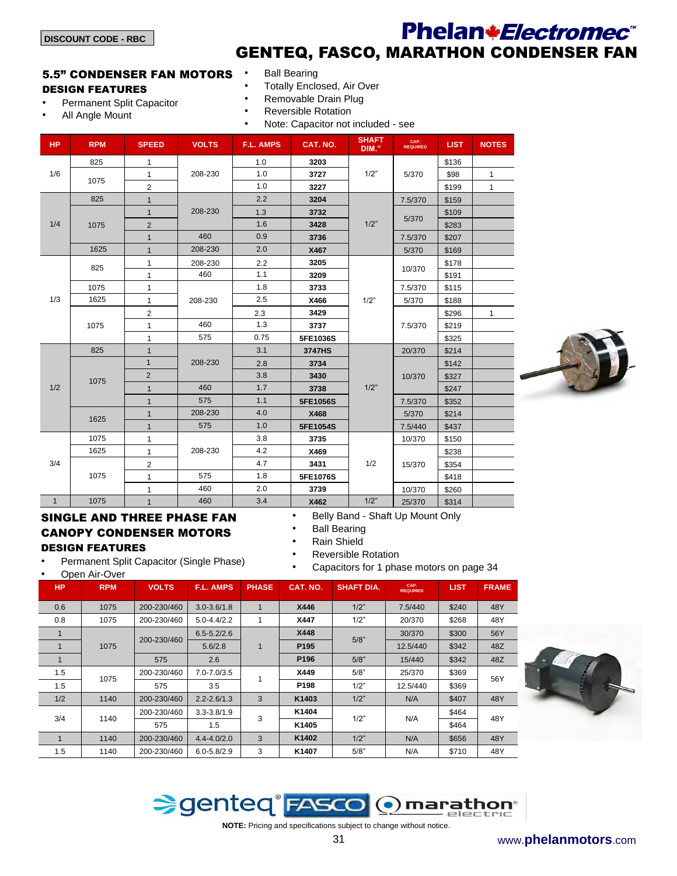All Angle Mount

### Phelan*\*Electromec*<sup>\*</sup> GENTEQ, FASCO, MARATHON CONDENSER FAN

#### 5.5" CONDENSER FAN MOTORS DESIGN FEATURES

• Permanent Split Capacitor

- **Ball Bearing** • Totally Enclosed, Air Over
- Removable Drain Plug
- 
- Reversible Rotation • Note: Capacitor not included - see

|              |            | <b>Note:</b> Supporter Hot iniquation |              |           |          |                       |                  |             |              |
|--------------|------------|---------------------------------------|--------------|-----------|----------|-----------------------|------------------|-------------|--------------|
| <b>HP</b>    | <b>RPM</b> | <b>SPEED</b>                          | <b>VOLTS</b> | F.L. AMPS | CAT. NO. | <b>SHAFT</b><br>DIM." | CAP.<br>REQUIRED | <b>LIST</b> | <b>NOTES</b> |
|              | 825        | $\mathbf{1}$                          |              | 1.0       | 3203     |                       |                  | \$136       |              |
| 1/6          |            | $\mathbf{1}$                          | 208-230      | 1.0       | 3727     | 1/2"                  | 5/370            | \$98        | 1            |
|              | 1075       | $\overline{2}$                        |              | 1.0       | 3227     |                       |                  | \$199       | $\mathbf{1}$ |
|              | 825        | $\mathbf{1}$                          |              | 2.2       | 3204     |                       | 7.5/370          | \$159       |              |
|              |            | $\mathbf{1}$                          | 208-230      | 1.3       | 3732     |                       |                  | \$109       |              |
| 1/4          | 1075       | $\overline{2}$                        |              | 1.6       | 3428     | 1/2"                  | 5/370            | \$283       |              |
|              |            | $\mathbf{1}$                          | 460          | 0.9       | 3736     |                       | 7.5/370          | \$207       |              |
|              | 1625       | $\mathbf{1}$                          | 208-230      | 2.0       | X467     |                       | 5/370            | \$169       |              |
|              | 825        | 1                                     | 208-230      | 2.2       | 3205     |                       |                  | \$178       |              |
|              |            | 1                                     | 460          | 1.1       | 3209     |                       | 10/370           | \$191       |              |
|              | 1075       | 1                                     |              | 1.8       | 3733     |                       | 7.5/370          | \$115       |              |
| 1/3          | 1625       | 1                                     | 208-230      | 2.5       | X466     | 1/2"                  | 5/370            | \$188       |              |
|              |            | $\overline{2}$                        |              | 2.3       | 3429     |                       |                  | \$296       | $\mathbf{1}$ |
|              | 1075       | 1                                     | 460          | 1.3       | 3737     |                       | 7.5/370          | \$219       |              |
|              |            | 1                                     | 575          | 0.75      | 5FE1036S |                       |                  | \$325       |              |
|              | 825        | $\mathbf{1}$                          |              | 3.1       | 3747HS   |                       | 20/370           | \$214       |              |
|              |            | $\mathbf{1}$                          | 208-230      | 2.8       | 3734     |                       |                  | \$142       |              |
|              | 1075       | $\overline{2}$                        |              | 3.8       | 3430     |                       | 10/370           | \$327       |              |
| 1/2          |            | $\mathbf{1}$                          | 460          | 1.7       | 3738     | 1/2"                  |                  | \$247       |              |
|              |            | $\mathbf{1}$                          | 575          | 1.1       | 5FE1056S |                       | 7.5/370          | \$352       |              |
|              | 1625       | $\mathbf{1}$                          | 208-230      | 4.0       | X468     |                       | 5/370            | \$214       |              |
|              |            | $\mathbf{1}$                          | 575          | 1.0       | 5FE1054S |                       | 7.5/440          | \$437       |              |
|              | 1075       | 1                                     |              | 3.8       | 3735     |                       | 10/370           | \$150       |              |
|              | 1625       | 1                                     | 208-230      | 4.2       | X469     |                       |                  | \$238       |              |
| 3/4          |            | 2                                     |              | 4.7       | 3431     | 1/2                   | 15/370           | \$354       |              |
|              | 1075       | $\mathbf{1}$                          | 575          | 1.8       | 5FE1076S |                       |                  | \$418       |              |
|              |            | $\mathbf{1}$                          | 460          | 2.0       | 3739     |                       | 10/370           | \$260       |              |
| $\mathbf{1}$ | 1075       | $\mathbf{1}$                          | 460          | 3.4       | X462     | 1/2"                  | 25/370           | \$314       |              |

#### SINGLE AND THREE PHASE FAN CANOPY CONDENSER MOTORS DESIGN FEATURES

• Permanent Split Capacitor (Single Phase)

• Open Air-Over

- Belly Band Shaft Up Mount Only
- **Ball Bearing**
- Rain Shield
- Reversible Rotation
	- Capacitors for 1 phase motors on page 34

| <b>HP</b> | <b>RPM</b> | <b>VOLTS</b> | <b>F.L. AMPS</b>  | <b>PHASE</b> | CAT. NO.         | <b>SHAFT DIA.</b> | CAP.<br><b>REQUIRED</b> | <b>LIST</b> | <b>FRAME</b> |
|-----------|------------|--------------|-------------------|--------------|------------------|-------------------|-------------------------|-------------|--------------|
| 0.6       | 1075       | 200-230/460  | $3.0 - 3.6 / 1.8$ | 1            | X446             | 1/2"              | 7.5/440                 | \$240       | 48Y          |
| 0.8       | 1075       | 200-230/460  | $5.0 - 4.4/2.2$   |              | X447             | 1/2"              | 20/370                  | \$268       | 48Y          |
|           |            | 200-230/460  | $6.5 - 5.2/2.6$   |              | X448             | 5/8"              | 30/370                  | \$300       | 56Y          |
|           | 1075       |              | 5.6/2.8           | 1            | P <sub>195</sub> |                   | 12.5/440                | \$342       | 48Z          |
|           |            | 575          | 2.6               |              | P <sub>196</sub> | 5/8"              | 15/440                  | \$342       | 48Z          |
| 1.5       | 1075       | 200-230/460  | $7.0 - 7.0 / 3.5$ |              | X449             | 5/8"              | 25/370                  | \$369       | 56Y          |
| 1.5       |            | 575          | 3.5               |              | P <sub>198</sub> | 1/2"              | 12.5/440                | \$369       |              |
| 1/2       | 1140       | 200-230/460  | $2.2 - 2.6/1.3$   | 3            | K1403            | 1/2"              | N/A                     | \$407       | 48Y          |
| 3/4       | 1140       | 200-230/460  | $3.3 - 3.8 / 1.9$ | 3            | K1404            | 1/2"              | N/A                     | \$464       | 48Y          |
|           |            | 575          | 1.5               |              | K1405            |                   |                         | \$464       |              |
|           | 1140       | 200-230/460  | $4.4 - 4.0/2.0$   | 3            | K1402            | 1/2"              | N/A                     | \$656       | 48Y          |
| 1.5       | 1140       | 200-230/460  | $6.0 - 5.8 / 2.9$ | 3            | K1407            | 5/8"              | N/A                     | \$710       | 48Y          |



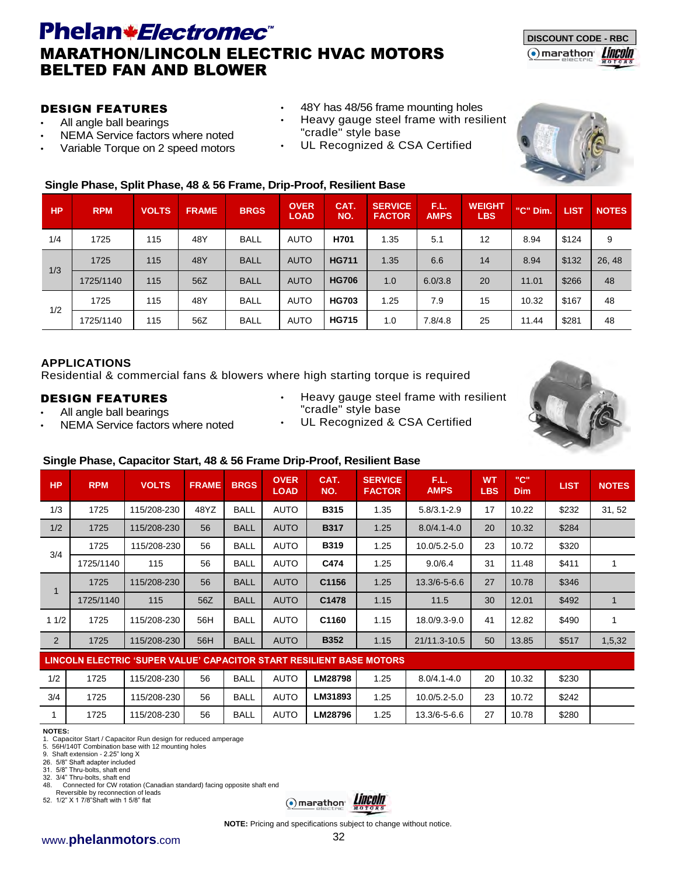### Phelan*\*Electromec*<sup>\*</sup> MARATHON/LINCOLN ELECTRIC HVAC MOTORS BELTED FAN AND BLOWER



#### DESIGN FEATURES

- All angle ball bearings
- NEMA Service factors where noted
- Variable Torque on 2 speed motors
- 48Y has 48/56 frame mounting holes
- Heavy gauge steel frame with resilient "cradle" style base
- UL Recognized & CSA Certified



#### **Single Phase, Split Phase, 48 & 56 Frame, Drip-Proof, Resilient Base**

| <b>HP</b> | <b>RPM</b> | <b>VOLTS</b> | <b>FRAME</b> | <b>BRGS</b> | <b>OVER</b><br><b>LOAD</b> | CAT.<br>NO.  | <b>SERVICE</b><br><b>FACTOR</b> | F.L.<br><b>AMPS</b> | <b>WEIGHT</b><br><b>LBS</b> | "C" Dim. | <b>LIST</b> | <b>NOTES</b> |
|-----------|------------|--------------|--------------|-------------|----------------------------|--------------|---------------------------------|---------------------|-----------------------------|----------|-------------|--------------|
| 1/4       | 1725       | 115          | 48Y          | <b>BALL</b> | AUTO                       | H701         | 1.35                            | 5.1                 | 12                          | 8.94     | \$124       | 9            |
| 1/3       | 1725       | 115          | 48Y          | <b>BALL</b> | <b>AUTO</b>                | <b>HG711</b> | 1.35                            | 6.6                 | 14                          | 8.94     | \$132       | 26, 48       |
|           | 1725/1140  | 115          | 56Z          | <b>BALL</b> | <b>AUTO</b>                | <b>HG706</b> | 1.0                             | 6.0/3.8             | 20                          | 11.01    | \$266       | 48           |
| 1/2       | 1725       | 115          | 48Y          | <b>BALL</b> | <b>AUTO</b>                | <b>HG703</b> | 1.25                            | 7.9                 | 15                          | 10.32    | \$167       | 48           |
|           | 1725/1140  | 115          | 56Z          | <b>BALL</b> | <b>AUTO</b>                | <b>HG715</b> | 1.0                             | 7.8/4.8             | 25                          | 11.44    | \$281       | 48           |

#### **APPLICATIONS**

Residential & commercial fans & blowers where high starting torque is required

#### DESIGN FEATURES

- All angle ball bearings
- NEMA Service factors where noted
- Heavy gauge steel frame with resilient "cradle" style base
- UL Recognized & CSA Certified



#### **Single Phase, Capacitor Start, 48 & 56 Frame Drip-Proof, Resilient Base**

| <b>HP</b>    | <b>RPM</b> | <b>VOLTS</b>                                                         | <b>FRAME</b> | <b>BRGS</b> | <b>OVER</b><br><b>LOAD</b> | CAT.<br>NO. | <b>SERVICE</b><br><b>FACTOR</b> | F.L.<br><b>AMPS</b> | <b>WT</b><br><b>LBS</b> | "С"<br><b>Dim</b> | <b>LIST</b> | <b>NOTES</b> |
|--------------|------------|----------------------------------------------------------------------|--------------|-------------|----------------------------|-------------|---------------------------------|---------------------|-------------------------|-------------------|-------------|--------------|
| 1/3          | 1725       | 115/208-230                                                          | 48YZ         | <b>BALL</b> | <b>AUTO</b>                | <b>B315</b> | 1.35                            | $5.8/3.1 - 2.9$     | 17                      | 10.22             | \$232       | 31, 52       |
| 1/2          | 1725       | 115/208-230                                                          | 56           | <b>BALL</b> | <b>AUTO</b>                | <b>B317</b> | 1.25                            | $8.0/4.1 - 4.0$     | 20                      | 10.32             | \$284       |              |
| 3/4          | 1725       | 115/208-230                                                          | 56           | <b>BALL</b> | <b>AUTO</b>                | <b>B319</b> | 1.25                            | $10.0/5.2 - 5.0$    | 23                      | 10.72             | \$320       |              |
|              | 1725/1140  | 115                                                                  | 56           | BALL        | <b>AUTO</b>                | C474        | 1.25                            | 9.0/6.4             | 31                      | 11.48             | \$411       |              |
| $\mathbf{1}$ | 1725       | 115/208-230                                                          | 56           | <b>BALL</b> | <b>AUTO</b>                | C1156       | 1.25                            | $13.3/6 - 5 - 6.6$  | 27                      | 10.78             | \$346       |              |
|              | 1725/1140  | 115                                                                  | 56Z          | <b>BALL</b> | <b>AUTO</b>                | C1478       | 1.15                            | 11.5                | 30                      | 12.01             | \$492       | 1            |
| 11/2         | 1725       | 115/208-230                                                          | 56H          | <b>BALL</b> | <b>AUTO</b>                | C1160       | 1.15                            | 18.0/9.3-9.0        | 41                      | 12.82             | \$490       |              |
| 2            | 1725       | 115/208-230                                                          | 56H          | <b>BALL</b> | <b>AUTO</b>                | <b>B352</b> | 1.15                            | 21/11.3-10.5        | 50                      | 13.85             | \$517       | 1,5,32       |
|              |            | LINCOLN ELECTRIC 'SUPER VALUE' CAPACITOR START RESILIENT BASE MOTORS |              |             |                            |             |                                 |                     |                         |                   |             |              |
| 1/2          | 1725       | 115/208-230                                                          | 56           | <b>BALL</b> | <b>AUTO</b>                | LM28798     | 1.25                            | $8.0/4.1 - 4.0$     | 20                      | 10.32             | \$230       |              |
| 3/4          | 1725       | 115/208-230                                                          | 56           | <b>BALL</b> | <b>AUTO</b>                | LM31893     | 1.25                            | 10.0/5.2-5.0        | 23                      | 10.72             | \$242       |              |

#### **NOTES:**

1. Capacitor Start / Capacitor Run design for reduced amperage

5. 56H/140T Combination base with 12 mounting holes 9. Shaft extension - 2.25" long X

26. 5/8" Shaft adapter included

31. 5/8" Thru-bolts, shaft end

32. 3/4" Thru-bolts, shaft end<br>48. Connected for CW rota

Connected for CW rotation (Canadian standard) facing opposite shaft end Reversible by reconnection of leads

52. 1/2" X 1 7/8"Shaft with 1 5/8" flat



1 1725 115/208-230 56 BALL AUTO **LM28796** 1.25 13.3/6-5-6.6 27 10.78 \$280

#### www.**phelanmotors**.com 32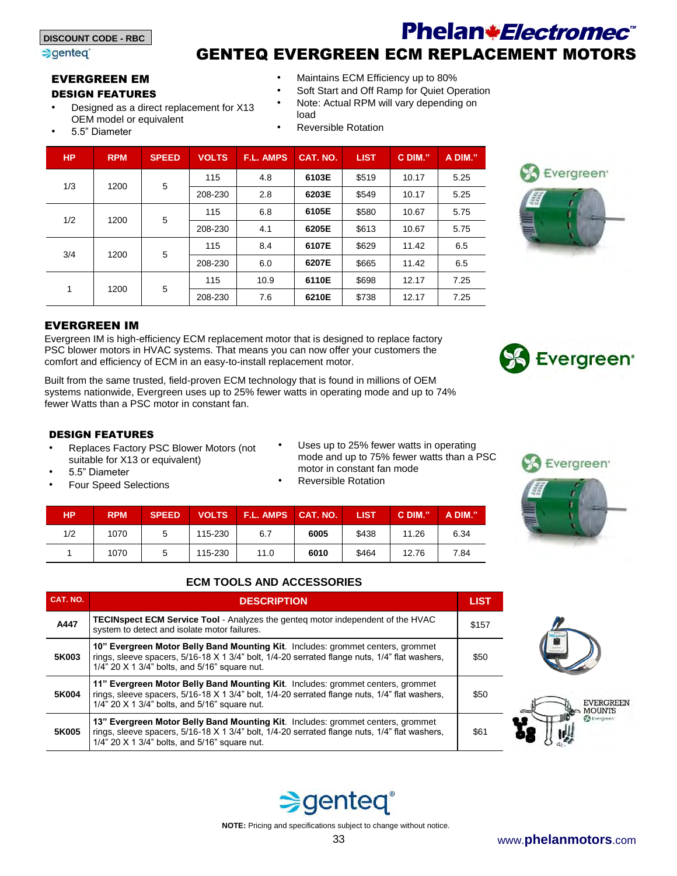#### sqented<sup>®</sup>

## Phelan*\*Electromec*<sup>\*</sup> GENTEQ EVERGREEN ECM REPLACEMENT MOTORS

#### EVERGREEN EM DESIGN FEATURES

- Designed as a direct replacement for X13 OEM model or equivalent
- 5.5" Diameter
- Maintains ECM Efficiency up to 80%
- Soft Start and Off Ramp for Quiet Operation
- Note: Actual RPM will vary depending on load
	- Reversible Rotation

| <b>HP</b> | <b>RPM</b> | <b>SPEED</b> | <b>VOLTS</b> | <b>F.L. AMPS</b> | CAT. NO. | <b>LIST</b> | C DIM." | A DIM." |
|-----------|------------|--------------|--------------|------------------|----------|-------------|---------|---------|
| 1/3       | 1200       | 5            | 115          | 4.8              | 6103E    | \$519       | 10.17   | 5.25    |
|           |            |              | 208-230      | 2.8              | 6203E    | \$549       | 10.17   | 5.25    |
| 1/2       | 1200       | 5            | 115          | 6.8              | 6105E    | \$580       | 10.67   | 5.75    |
|           |            |              | 208-230      | 4.1              | 6205E    | \$613       | 10.67   | 5.75    |
| 3/4       | 1200       | 5            | 115          | 8.4              | 6107E    | \$629       | 11.42   | 6.5     |
|           |            |              | 208-230      | 6.0              | 6207E    | \$665       | 11.42   | 6.5     |
|           | 1200       |              | 115          | 10.9             | 6110E    | \$698       | 12.17   | 7.25    |
| 1         |            | 5            | 208-230      | 7.6              | 6210E    | \$738       | 12.17   | 7.25    |



Evergreen IM is high-efficiency ECM replacement motor that is designed to replace factory PSC blower motors in HVAC systems. That means you can now offer your customers the comfort and efficiency of ECM in an easy-to-install replacement motor.

Built from the same trusted, field-proven ECM technology that is found in millions of OEM systems nationwide, Evergreen uses up to 25% fewer watts in operating mode and up to 74% fewer Watts than a PSC motor in constant fan.

#### DESIGN FEATURES

- Replaces Factory PSC Blower Motors (not suitable for X13 or equivalent)
- 5.5" Diameter
- Four Speed Selections
- Uses up to 25% fewer watts in operating mode and up to 75% fewer watts than a PSC motor in constant fan mode
- Reversible Rotation

| HР  | <b>RPM</b> | <b>SPEED</b> | <b>VOLTS</b> | <b>F.L. AMPS CAT. NO.</b> |      | <b>LIST</b> | C DIM." | A DIM." |
|-----|------------|--------------|--------------|---------------------------|------|-------------|---------|---------|
| 1/2 | 1070       | 5            | 115-230      | 6.7                       | 6005 | \$438       | 11.26   | 6.34    |
|     | 1070       | 5            | 115-230      | 11.0                      | 6010 | \$464       | 12.76   | 7.84    |



#### **ECM TOOLS AND ACCESSORIES**

| CAT. NO. | <b>DESCRIPTION</b>                                                                                                                                                                                                                       | <b>LIST</b> |
|----------|------------------------------------------------------------------------------------------------------------------------------------------------------------------------------------------------------------------------------------------|-------------|
| A447     | <b>TECINspect ECM Service Tool</b> - Analyzes the genteq motor independent of the HVAC<br>system to detect and isolate motor failures.                                                                                                   | \$157       |
| 5K003    | 10" Evergreen Motor Belly Band Mounting Kit. Includes: grommet centers, grommet<br>rings, sleeve spacers, 5/16-18 X 1 3/4" bolt, 1/4-20 serrated flange nuts, 1/4" flat washers,<br>1/4" 20 $\times$ 1 3/4" bolts, and 5/16" square nut. | \$50        |
| 5K004    | 11" Evergreen Motor Belly Band Mounting Kit. Includes: grommet centers, grommet<br>rings, sleeve spacers, 5/16-18 X 1 3/4" bolt, 1/4-20 serrated flange nuts, 1/4" flat washers,<br>1/4" 20 $\times$ 1 3/4" bolts, and 5/16" square nut. | \$50        |
| 5K005    | 13" Evergreen Motor Belly Band Mounting Kit. Includes: grommet centers, grommet<br>rings, sleeve spacers, 5/16-18 X 1 3/4" bolt, 1/4-20 serrated flange nuts, 1/4" flat washers,<br>1/4" 20 X 1 3/4" bolts, and 5/16" square nut.        | \$61        |









Evergreen<sup>®</sup>